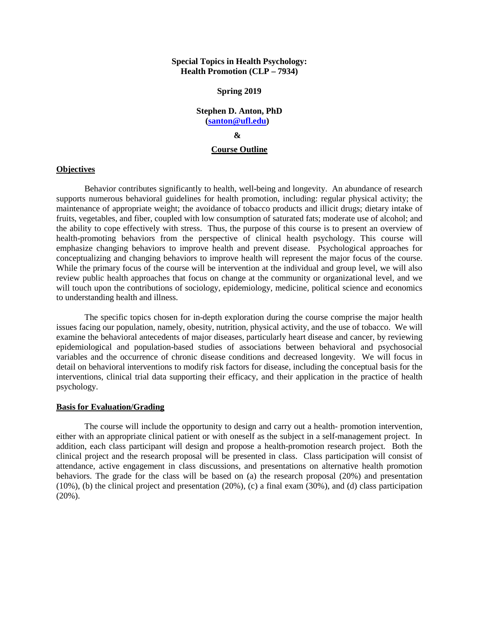#### **Special Topics in Health Psychology: Health Promotion (CLP – 7934)**

#### **Spring 2019**

## **Stephen D. Anton, PhD [\(santon@ufl.edu\)](mailto:santon@ufl.edu) &**

#### **Course Outline**

#### **Objectives**

Behavior contributes significantly to health, well-being and longevity. An abundance of research supports numerous behavioral guidelines for health promotion, including: regular physical activity; the maintenance of appropriate weight; the avoidance of tobacco products and illicit drugs; dietary intake of fruits, vegetables, and fiber, coupled with low consumption of saturated fats; moderate use of alcohol; and the ability to cope effectively with stress. Thus, the purpose of this course is to present an overview of health-promoting behaviors from the perspective of clinical health psychology. This course will emphasize changing behaviors to improve health and prevent disease. Psychological approaches for conceptualizing and changing behaviors to improve health will represent the major focus of the course. While the primary focus of the course will be intervention at the individual and group level, we will also review public health approaches that focus on change at the community or organizational level, and we will touch upon the contributions of sociology, epidemiology, medicine, political science and economics to understanding health and illness.

The specific topics chosen for in-depth exploration during the course comprise the major health issues facing our population, namely, obesity, nutrition, physical activity, and the use of tobacco. We will examine the behavioral antecedents of major diseases, particularly heart disease and cancer, by reviewing epidemiological and population-based studies of associations between behavioral and psychosocial variables and the occurrence of chronic disease conditions and decreased longevity. We will focus in detail on behavioral interventions to modify risk factors for disease, including the conceptual basis for the interventions, clinical trial data supporting their efficacy, and their application in the practice of health psychology.

#### **Basis for Evaluation/Grading**

The course will include the opportunity to design and carry out a health- promotion intervention, either with an appropriate clinical patient or with oneself as the subject in a self-management project. In addition, each class participant will design and propose a health-promotion research project. Both the clinical project and the research proposal will be presented in class. Class participation will consist of attendance, active engagement in class discussions, and presentations on alternative health promotion behaviors. The grade for the class will be based on (a) the research proposal (20%) and presentation (10%), (b) the clinical project and presentation (20%), (c) a final exam  $(30\%)$ , and (d) class participation (20%).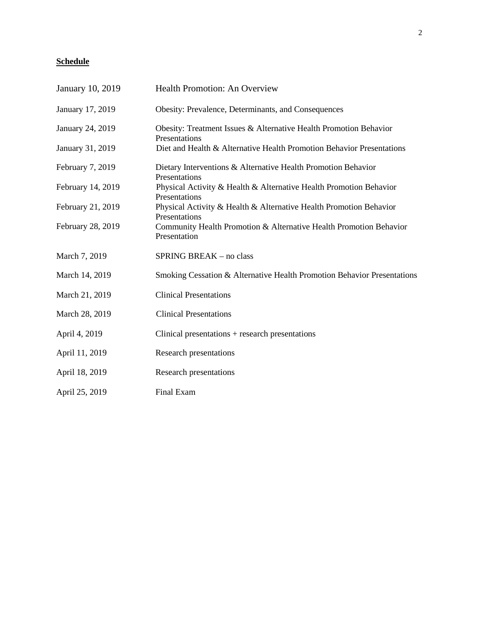# **Schedule**

| January 10, 2019  | Health Promotion: An Overview                                                       |
|-------------------|-------------------------------------------------------------------------------------|
| January 17, 2019  | Obesity: Prevalence, Determinants, and Consequences                                 |
| January 24, 2019  | Obesity: Treatment Issues & Alternative Health Promotion Behavior<br>Presentations  |
| January 31, 2019  | Diet and Health & Alternative Health Promotion Behavior Presentations               |
| February 7, 2019  | Dietary Interventions & Alternative Health Promotion Behavior<br>Presentations      |
| February 14, 2019 | Physical Activity & Health & Alternative Health Promotion Behavior<br>Presentations |
| February 21, 2019 | Physical Activity & Health & Alternative Health Promotion Behavior<br>Presentations |
| February 28, 2019 | Community Health Promotion & Alternative Health Promotion Behavior<br>Presentation  |
| March 7, 2019     | SPRING BREAK - no class                                                             |
| March 14, 2019    | Smoking Cessation & Alternative Health Promotion Behavior Presentations             |
| March 21, 2019    | <b>Clinical Presentations</b>                                                       |
| March 28, 2019    | <b>Clinical Presentations</b>                                                       |
| April 4, 2019     | Clinical presentations $+$ research presentations                                   |
| April 11, 2019    | <b>Research presentations</b>                                                       |
| April 18, 2019    | <b>Research presentations</b>                                                       |
| April 25, 2019    | Final Exam                                                                          |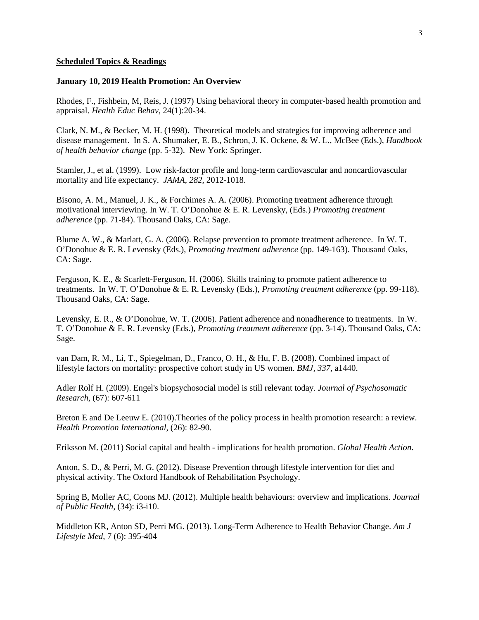#### **Scheduled Topics & Readings**

#### **January 10, 2019 Health Promotion: An Overview**

Rhodes, F., Fishbein, M, Reis, J. (1997) Using behavioral theory in computer-based health promotion and appraisal. *Health Educ Behav,* 24(1):20-34.

Clark, N. M., & Becker, M. H. (1998). Theoretical models and strategies for improving adherence and disease management. In S. A. Shumaker, E. B., Schron, J. K. Ockene, & W. L., McBee (Eds.), *Handbook of health behavior change* (pp. 5-32). New York: Springer.

Stamler, J., et al. (1999). Low risk-factor profile and long-term cardiovascular and noncardiovascular mortality and life expectancy. *JAMA*, *282*, 2012-1018.

Bisono, A. M., Manuel, J. K., & Forchimes A. A. (2006). Promoting treatment adherence through motivational interviewing. In W. T. O'Donohue & E. R. Levensky, (Eds.) *Promoting treatment adherence* (pp. 71-84). Thousand Oaks, CA: Sage.

Blume A. W., & Marlatt, G. A. (2006). Relapse prevention to promote treatment adherence. In W. T. O'Donohue & E. R. Levensky (Eds.), *Promoting treatment adherence* (pp. 149-163). Thousand Oaks, CA: Sage.

Ferguson, K. E., & Scarlett-Ferguson, H. (2006). Skills training to promote patient adherence to treatments. In W. T. O'Donohue & E. R. Levensky (Eds.), *Promoting treatment adherence* (pp. 99-118). Thousand Oaks, CA: Sage.

Levensky, E. R., & O'Donohue, W. T. (2006). Patient adherence and nonadherence to treatments. In W. T. O'Donohue & E. R. Levensky (Eds.), *Promoting treatment adherence* (pp. 3-14). Thousand Oaks, CA: Sage.

van Dam, R. M., Li, T., Spiegelman, D., Franco, O. H., & Hu, F. B. (2008). Combined impact of lifestyle factors on mortality: prospective cohort study in US women. *BMJ, 337,* a1440.

Adler Rolf H. (2009). Engel's biopsychosocial model is still relevant today. *Journal of Psychosomatic Research,* (67): 607-611

Breton E and De Leeuw E. (2010).Theories of the policy process in health promotion research: a review. *Health Promotion International*, (26): 82-90.

Eriksson M. (2011) Social capital and health - implications for health promotion. *Global Health Action*.

Anton, S. D., & Perri, M. G. (2012). Disease Prevention through lifestyle intervention for diet and physical activity. The Oxford Handbook of Rehabilitation Psychology.

Spring B, Moller AC, Coons MJ. (2012). Multiple health behaviours: overview and implications. *Journal of Public Health,* (34): i3-i10.

Middleton KR, Anton SD, Perri MG. (2013). Long-Term Adherence to Health Behavior Change. *Am J Lifestyle Med*, 7 (6): 395-404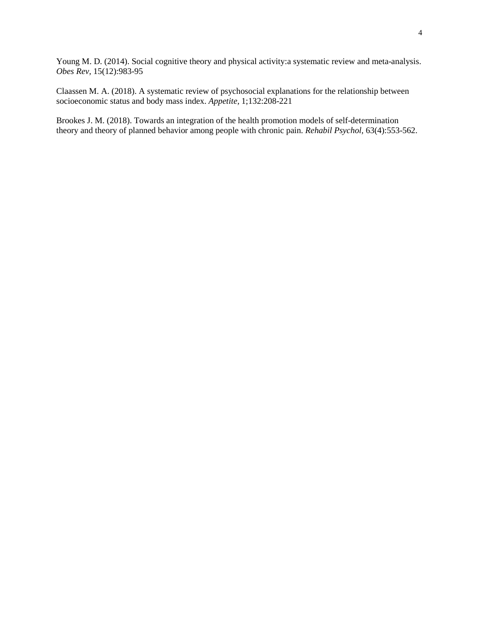Young M. D. (2014). Social cognitive theory and physical activity:a systematic review and meta-analysis. *Obes Rev,* 15(12):983-95

Claassen M. A. (2018). A systematic review of psychosocial explanations for the relationship between socioeconomic status and body mass index. *Appetite,* 1;132:208-221

Brookes J. M. (2018). Towards an integration of the health promotion models of self-determination theory and theory of planned behavior among people with chronic pain. *Rehabil Psychol,* 63(4):553-562.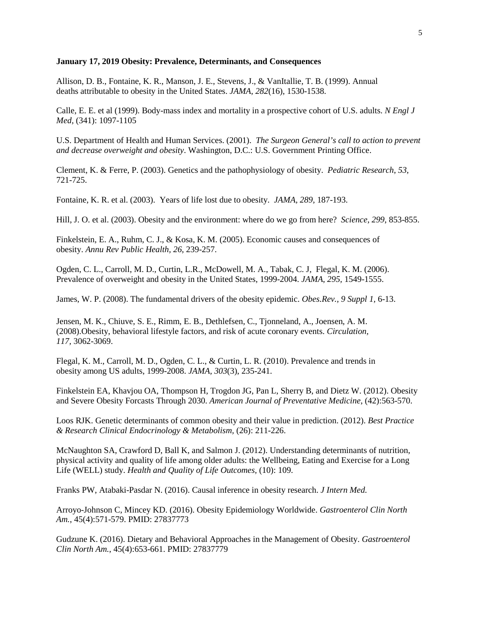#### **January 17, 2019 Obesity: Prevalence, Determinants, and Consequences**

Allison, D. B., Fontaine, K. R., Manson, J. E., Stevens, J., & VanItallie, T. B. (1999). Annual deaths attributable to obesity in the United States. *JAMA, 282*(16), 1530-1538.

Calle, E. E. et al (1999). Body-mass index and mortality in a prospective cohort of U.S. adults. *N Engl J Med,* (341): 1097-1105

U.S. Department of Health and Human Services. (2001). *The Surgeon General's call to action to prevent and decrease overweight and obesity*. Washington, D.C.: U.S. Government Printing Office.

Clement, K. & Ferre, P. (2003). Genetics and the pathophysiology of obesity. *Pediatric Research*, *53*, 721-725.

Fontaine, K. R. et al. (2003). Years of life lost due to obesity. *JAMA, 289,* 187-193.

Hill, J. O. et al. (2003). Obesity and the environment: where do we go from here? *Science, 299*, 853-855.

Finkelstein, E. A., Ruhm, C. J., & Kosa, K. M. (2005). Economic causes and consequences of obesity. *Annu Rev Public Health, 26*, 239-257.

Ogden, C. L., Carroll, M. D., Curtin, L.R., McDowell, M. A., Tabak, C. J, Flegal, K. M. (2006). Prevalence of overweight and obesity in the United States, 1999-2004. *JAMA*, *295,* 1549-1555.

James, W. P. (2008). The fundamental drivers of the obesity epidemic. *Obes.Rev., 9 Suppl 1,* 6-13.

Jensen, M. K., Chiuve, S. E., Rimm, E. B., Dethlefsen, C., Tjonneland, A., Joensen, A. M. (2008).Obesity, behavioral lifestyle factors, and risk of acute coronary events. *Circulation, 117,* 3062-3069.

Flegal, K. M., Carroll, M. D., Ogden, C. L., & Curtin, L. R. (2010). Prevalence and trends in obesity among US adults, 1999-2008. *JAMA, 303*(3), 235-241.

Finkelstein EA, Khavjou OA, Thompson H, Trogdon JG, Pan L, Sherry B, and Dietz W. (2012). Obesity and Severe Obesity Forcasts Through 2030. *American Journal of Preventative Medicine*, (42):563-570.

Loos RJK. Genetic determinants of common obesity and their value in prediction. (2012). *Best Practice & Research Clinical Endocrinology & Metabolism,* (26): 211-226.

McNaughton SA, Crawford D, Ball K, and Salmon J. (2012). Understanding determinants of nutrition, physical activity and quality of life among older adults: the Wellbeing, Eating and Exercise for a Long Life (WELL) study. *Health and Quality of Life Outcomes,* (10): 109.

Franks PW, Atabaki-Pasdar N. (2016). Causal inference in obesity research. *J Intern Med.*

Arroyo-Johnson C, Mincey KD. (2016). Obesity Epidemiology Worldwide. *Gastroenterol Clin North Am.*, 45(4):571-579. PMID: 27837773

Gudzune K. (2016). Dietary and Behavioral Approaches in the Management of Obesity. *Gastroenterol Clin North Am.*, 45(4):653-661. PMID: 27837779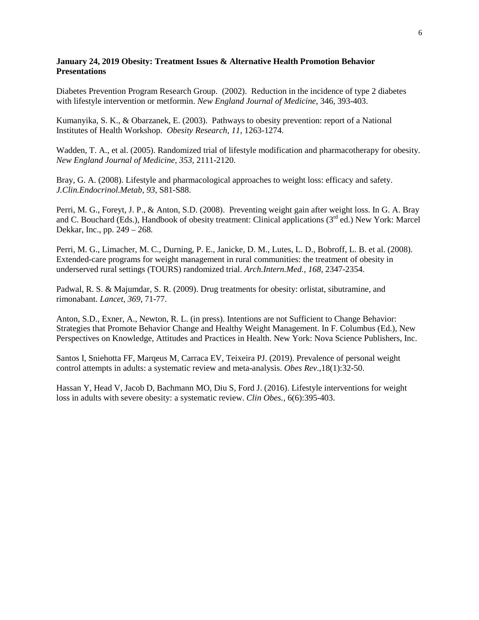## **January 24, 2019 Obesity: Treatment Issues & Alternative Health Promotion Behavior Presentations**

Diabetes Prevention Program Research Group. (2002). Reduction in the incidence of type 2 diabetes with lifestyle intervention or metformin. *New England Journal of Medicine,* 346, 393-403.

Kumanyika, S. K., & Obarzanek, E. (2003). Pathways to obesity prevention: report of a National Institutes of Health Workshop. *Obesity Research, 11,* 1263-1274.

Wadden, T. A., et al. (2005). Randomized trial of lifestyle modification and pharmacotherapy for obesity. *New England Journal of Medicine, 353,* 2111-2120.

Bray, G. A. (2008). Lifestyle and pharmacological approaches to weight loss: efficacy and safety. *J.Clin.Endocrinol.Metab, 93,* S81-S88.

Perri, M. G., Foreyt, J. P., & Anton, S.D. (2008). Preventing weight gain after weight loss. In G. A. Bray and C. Bouchard (Eds.), Handbook of obesity treatment: Clinical applications (3<sup>rd</sup> ed.) New York: Marcel Dekkar, Inc., pp. 249 – 268.

Perri, M. G., Limacher, M. C., Durning, P. E., Janicke, D. M., Lutes, L. D., Bobroff, L. B. et al. (2008). Extended-care programs for weight management in rural communities: the treatment of obesity in underserved rural settings (TOURS) randomized trial. *Arch.Intern.Med., 168,* 2347-2354.

Padwal, R. S. & Majumdar, S. R. (2009). Drug treatments for obesity: orlistat, sibutramine, and rimonabant. *Lancet, 369,* 71-77.

Anton, S.D., Exner, A., Newton, R. L. (in press). Intentions are not Sufficient to Change Behavior: Strategies that Promote Behavior Change and Healthy Weight Management. In F. Columbus (Ed.), New Perspectives on Knowledge, Attitudes and Practices in Health. New York: Nova Science Publishers, Inc.

Santos I, Sniehotta FF, Marqeus M, Carraca EV, Teixeira PJ. (2019). Prevalence of personal weight control attempts in adults: a systematic review and meta-analysis. *Obes Rev*.,18(1):32-50.

Hassan Y, Head V, Jacob D, Bachmann MO, Diu S, Ford J. (2016). Lifestyle interventions for weight loss in adults with severe obesity: a systematic review. *Clin Obes.*, 6(6):395-403.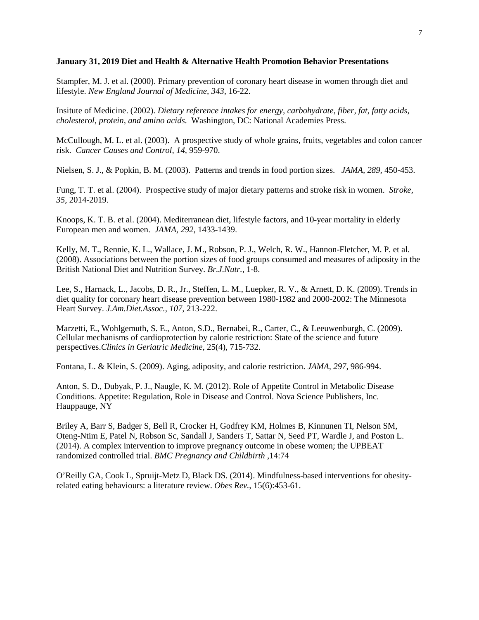#### **January 31, 2019 Diet and Health & Alternative Health Promotion Behavior Presentations**

Stampfer, M. J. et al. (2000). Primary prevention of coronary heart disease in women through diet and lifestyle. *New England Journal of Medicine, 343,* 16-22.

Insitute of Medicine. (2002). *Dietary reference intakes for energy, carbohydrate, fiber, fat, fatty acids, cholesterol, protein, and amino acids.* Washington, DC: National Academies Press.

McCullough, M. L. et al. (2003). A prospective study of whole grains, fruits, vegetables and colon cancer risk. *Cancer Causes and Control, 14,* 959-970.

Nielsen, S. J., & Popkin, B. M. (2003). Patterns and trends in food portion sizes. *JAMA, 289,* 450-453.

Fung, T. T. et al. (2004). Prospective study of major dietary patterns and stroke risk in women. *Stroke, 35,* 2014-2019.

Knoops, K. T. B. et al. (2004). Mediterranean diet, lifestyle factors, and 10-year mortality in elderly European men and women. *JAMA, 292,* 1433-1439.

Kelly, M. T., Rennie, K. L., Wallace, J. M., Robson, P. J., Welch, R. W., Hannon-Fletcher, M. P. et al. (2008). Associations between the portion sizes of food groups consumed and measures of adiposity in the British National Diet and Nutrition Survey. *Br.J.Nutr.,* 1-8.

Lee, S., Harnack, L., Jacobs, D. R., Jr., Steffen, L. M., Luepker, R. V., & Arnett, D. K. (2009). Trends in diet quality for coronary heart disease prevention between 1980-1982 and 2000-2002: The Minnesota Heart Survey. *J.Am.Diet.Assoc., 107,* 213-222.

Marzetti, E., Wohlgemuth, S. E., Anton, S.D., Bernabei, R., Carter, C., & Leeuwenburgh, C. (2009). Cellular mechanisms of cardioprotection by calorie restriction: State of the science and future perspectives.*Clinics in Geriatric Medicine*, 25(4), 715-732.

Fontana, L. & Klein, S. (2009). Aging, adiposity, and calorie restriction. *JAMA, 297,* 986-994.

Anton, S. D., Dubyak, P. J., Naugle, K. M. (2012). Role of Appetite Control in Metabolic Disease Conditions. Appetite: Regulation, Role in Disease and Control. Nova Science Publishers, Inc. Hauppauge, NY

Briley A, Barr S, Badger S, Bell R, Crocker H, Godfrey KM, Holmes B, Kinnunen TI, Nelson SM, Oteng-Ntim E, Patel N, Robson Sc, Sandall J, Sanders T, Sattar N, Seed PT, Wardle J, and Poston L. (2014). A complex intervention to improve pregnancy outcome in obese women; the UPBEAT randomized controlled trial. *BMC Pregnancy and Childbirth* ,14:74

O'Reilly GA, Cook L, Spruijt-Metz D, Black DS. (2014). Mindfulness-based interventions for obesityrelated eating behaviours: a literature review. *Obes Rev.*, 15(6):453-61.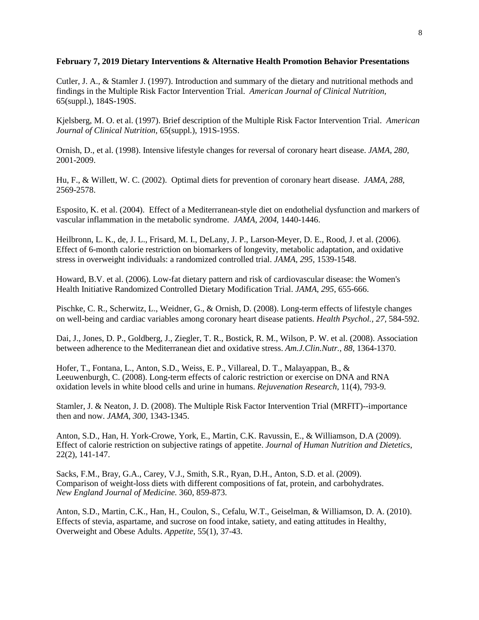## **February 7, 2019 Dietary Interventions & Alternative Health Promotion Behavior Presentations**

Cutler, J. A., & Stamler J. (1997). Introduction and summary of the dietary and nutritional methods and findings in the Multiple Risk Factor Intervention Trial. *American Journal of Clinical Nutrition,* 65(suppl.), 184S-190S.

Kjelsberg, M. O. et al. (1997). Brief description of the Multiple Risk Factor Intervention Trial. *American Journal of Clinical Nutrition,* 65(suppl.), 191S-195S.

Ornish, D., et al. (1998). Intensive lifestyle changes for reversal of coronary heart disease. *JAMA, 280,* 2001-2009.

Hu, F., & Willett, W. C. (2002). Optimal diets for prevention of coronary heart disease. *JAMA, 288,* 2569-2578.

Esposito, K. et al. (2004). Effect of a Mediterranean-style diet on endothelial dysfunction and markers of vascular inflammation in the metabolic syndrome. *JAMA, 2004,* 1440-1446.

Heilbronn, L. K., de, J. L., Frisard, M. I., DeLany, J. P., Larson-Meyer, D. E., Rood, J. et al. (2006). Effect of 6-month calorie restriction on biomarkers of longevity, metabolic adaptation, and oxidative stress in overweight individuals: a randomized controlled trial. *JAMA, 295,* 1539-1548.

Howard, B.V. et al. (2006). Low-fat dietary pattern and risk of cardiovascular disease: the Women's Health Initiative Randomized Controlled Dietary Modification Trial. *JAMA*, *295*, 655-666.

Pischke, C. R., Scherwitz, L., Weidner, G., & Ornish, D. (2008). Long-term effects of lifestyle changes on well-being and cardiac variables among coronary heart disease patients. *Health Psychol., 27,* 584-592.

Dai, J., Jones, D. P., Goldberg, J., Ziegler, T. R., Bostick, R. M., Wilson, P. W. et al. (2008). Association between adherence to the Mediterranean diet and oxidative stress. *Am.J.Clin.Nutr., 88,* 1364-1370.

Hofer, T., Fontana, L., Anton, S.D., Weiss, E. P., Villareal, D. T., Malayappan, B., & Leeuwenburgh, C. (2008). Long-term effects of caloric restriction or exercise on DNA and RNA oxidation levels in white blood cells and urine in humans. *Rejuvenation Research,* 11(4), 793-9*.*

Stamler, J. & Neaton, J. D. (2008). The Multiple Risk Factor Intervention Trial (MRFIT)--importance then and now. *JAMA, 300,* 1343-1345.

Anton, S.D., Han, H. York-Crowe, York, E., Martin, C.K. Ravussin, E., & Williamson, D.A (2009). Effect of calorie restriction on subjective ratings of appetite. *Journal of Human Nutrition and Dietetics*, 22(2), 141-147.

Sacks, F.M., Bray, G.A., Carey, V.J., Smith, S.R., Ryan, D.H., Anton, S.D. et al. (2009). Comparison of weight-loss diets with different compositions of fat, protein, and carbohydrates. *New England Journal of Medicine.* 360, 859-873.

Anton, S.D., Martin, C.K., Han, H., Coulon, S., Cefalu, W.T., Geiselman, & Williamson, D. A. (2010). Effects of stevia, aspartame, and sucrose on food intake, satiety, and eating attitudes in Healthy, Overweight and Obese Adults. *Appetite*, 55(1), 37-43.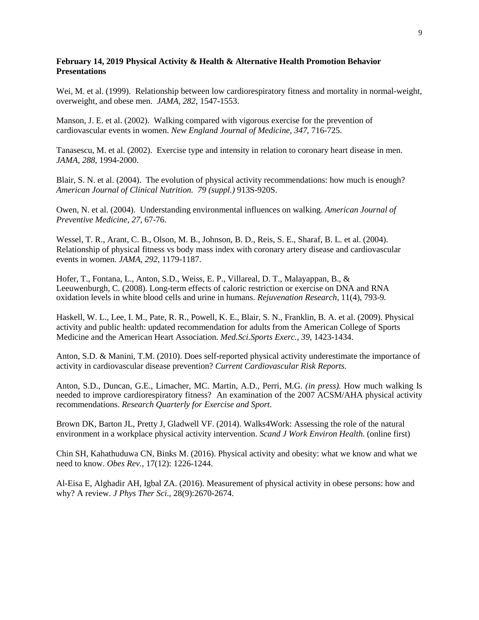## **February 14, 2019 Physical Activity & Health & Alternative Health Promotion Behavior Presentations**

Wei, M. et al. (1999). Relationship between low cardiorespiratory fitness and mortality in normal-weight, overweight, and obese men. *JAMA, 282*, 1547-1553.

Manson, J. E. et al. (2002). Walking compared with vigorous exercise for the prevention of cardiovascular events in women. *New England Journal of Medicine, 347*, 716-725.

Tanasescu, M. et al. (2002). Exercise type and intensity in relation to coronary heart disease in men. *JAMA, 288,* 1994-2000.

Blair, S. N. et al. (2004). The evolution of physical activity recommendations: how much is enough? *American Journal of Clinical Nutrition. 79 (suppl.)* 913S-920S.

Owen, N. et al. (2004). Understanding environmental influences on walking. *American Journal of Preventive Medicine, 27,* 67-76.

Wessel, T. R., Arant, C. B., Olson, M. B., Johnson, B. D., Reis, S. E., Sharaf, B. L. et al. (2004). Relationship of physical fitness vs body mass index with coronary artery disease and cardiovascular events in women. *JAMA, 292,* 1179-1187.

Hofer, T., Fontana, L., Anton, S.D., Weiss, E. P., Villareal, D. T., Malayappan, B., & Leeuwenburgh, C. (2008). Long-term effects of caloric restriction or exercise on DNA and RNA oxidation levels in white blood cells and urine in humans. *Rejuvenation Research,* 11(4), 793-9*.*

Haskell, W. L., Lee, I. M., Pate, R. R., Powell, K. E., Blair, S. N., Franklin, B. A. et al. (2009). Physical activity and public health: updated recommendation for adults from the American College of Sports Medicine and the American Heart Association. *Med.Sci.Sports Exerc., 39,* 1423-1434.

Anton, S.D. & Manini, T.M. (2010). Does self-reported physical activity underestimate the importance of activity in cardiovascular disease prevention? *Current Cardiovascular Risk Reports.*

Anton, S.D., Duncan, G.E., Limacher, MC. Martin, A.D., Perri, M.G. *(in press).* How much walking Is needed to improve cardiorespiratory fitness? An examination of the 2007 ACSM/AHA physical activity recommendations. *Research Quarterly for Exercise and Sport*.

Brown DK, Barton JL, Pretty J, Gladwell VF. (2014). Walks4Work: Assessing the role of the natural environment in a workplace physical activity intervention. *Scand J Work Environ Health*. (online first)

Chin SH, Kahathuduwa CN, Binks M. (2016). Physical activity and obesity: what we know and what we need to know. *Obes Rev.*, 17(12): 1226-1244.

Al-Eisa E, Alghadir AH, Igbal ZA. (2016). Measurement of physical activity in obese persons: how and why? A review. *J Phys Ther Sci.*, 28(9):2670-2674.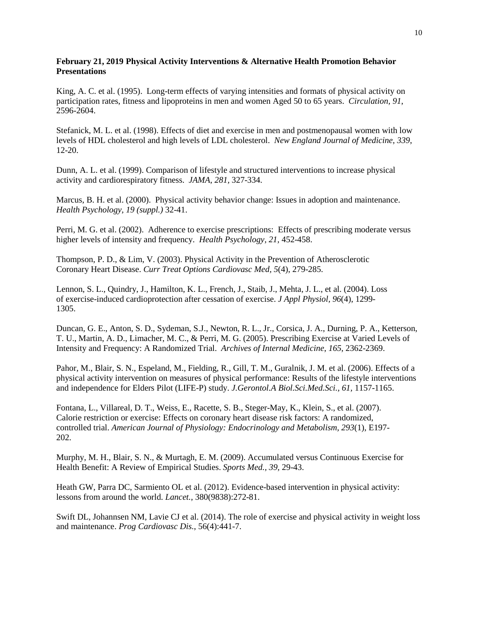## **February 21, 2019 Physical Activity Interventions & Alternative Health Promotion Behavior Presentations**

King, A. C. et al. (1995). Long-term effects of varying intensities and formats of physical activity on participation rates, fitness and lipoproteins in men and women Aged 50 to 65 years. *Circulation, 91*, 2596-2604.

Stefanick, M. L. et al. (1998). Effects of diet and exercise in men and postmenopausal women with low levels of HDL cholesterol and high levels of LDL cholesterol. *New England Journal of Medicine*, *339*, 12-20.

Dunn, A. L. et al. (1999). Comparison of lifestyle and structured interventions to increase physical activity and cardiorespiratory fitness. *JAMA, 281,* 327-334.

Marcus, B. H. et al. (2000). Physical activity behavior change: Issues in adoption and maintenance. *Health Psychology, 19 (suppl.)* 32-41.

Perri, M. G. et al. (2002). Adherence to exercise prescriptions: Effects of prescribing moderate versus higher levels of intensity and frequency. *Health Psychology, 21,* 452-458.

Thompson, P. D., & Lim, V. (2003). Physical Activity in the Prevention of Atherosclerotic Coronary Heart Disease. *Curr Treat Options Cardiovasc Med, 5*(4), 279-285.

Lennon, S. L., Quindry, J., Hamilton, K. L., French, J., Staib, J., Mehta, J. L., et al. (2004). Loss of exercise-induced cardioprotection after cessation of exercise. *J Appl Physiol, 96*(4), 1299- 1305.

Duncan, G. E., Anton, S. D., Sydeman, S.J., Newton, R. L., Jr., Corsica, J. A., Durning, P. A., Ketterson, T. U., Martin, A. D., Limacher, M. C., & Perri, M. G. (2005). Prescribing Exercise at Varied Levels of Intensity and Frequency: A Randomized Trial. *Archives of Internal Medicine*, *165*, 2362-2369.

Pahor, M., Blair, S. N., Espeland, M., Fielding, R., Gill, T. M., Guralnik, J. M. et al. (2006). Effects of a physical activity intervention on measures of physical performance: Results of the lifestyle interventions and independence for Elders Pilot (LIFE-P) study. *J.Gerontol.A Biol.Sci.Med.Sci., 61,* 1157-1165.

Fontana, L., Villareal, D. T., Weiss, E., Racette, S. B., Steger-May, K., Klein, S., et al. (2007). Calorie restriction or exercise: Effects on coronary heart disease risk factors: A randomized, controlled trial. *American Journal of Physiology: Endocrinology and Metabolism, 293*(1), E197- 202.

Murphy, M. H., Blair, S. N., & Murtagh, E. M. (2009). Accumulated versus Continuous Exercise for Health Benefit: A Review of Empirical Studies. *Sports Med., 39,* 29-43.

Heath GW, Parra DC, Sarmiento OL et al. (2012). Evidence-based intervention in physical activity: lessons from around the world. *Lancet.*, 380(9838):272-81.

Swift DL, Johannsen NM, Lavie CJ et al. (2014). The role of exercise and physical activity in weight loss and maintenance. *Prog Cardiovasc Dis.*, 56(4):441-7.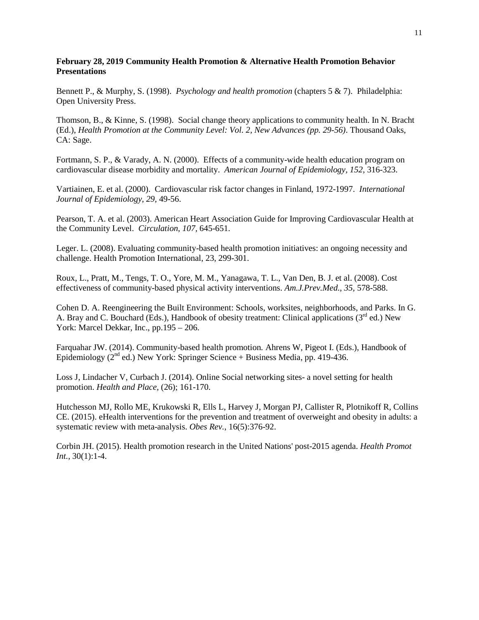## **February 28, 2019 Community Health Promotion & Alternative Health Promotion Behavior Presentations**

Bennett P., & Murphy, S. (1998). *Psychology and health promotion* (chapters 5 & 7). Philadelphia: Open University Press.

Thomson, B., & Kinne, S. (1998). Social change theory applications to community health. In N. Bracht (Ed.), *Health Promotion at the Community Level: Vol. 2, New Advances (pp. 29-56)*. Thousand Oaks, CA: Sage.

Fortmann, S. P., & Varady, A. N. (2000). Effects of a community-wide health education program on cardiovascular disease morbidity and mortality. *American Journal of Epidemiology, 152,* 316-323.

Vartiainen, E. et al. (2000). Cardiovascular risk factor changes in Finland, 1972-1997. *International Journal of Epidemiology, 29,* 49-56.

Pearson, T. A. et al. (2003). American Heart Association Guide for Improving Cardiovascular Health at the Community Level. *Circulation, 107,* 645-651.

Leger. L. (2008). Evaluating community-based health promotion initiatives: an ongoing necessity and challenge. Health Promotion International, 23, 299-301.

Roux, L., Pratt, M., Tengs, T. O., Yore, M. M., Yanagawa, T. L., Van Den, B. J. et al. (2008). Cost effectiveness of community-based physical activity interventions. *Am.J.Prev.Med., 35,* 578-588.

Cohen D. A. Reengineering the Built Environment: Schools, worksites, neighborhoods, and Parks. In G. A. Bray and C. Bouchard (Eds.), Handbook of obesity treatment: Clinical applications (3<sup>rd</sup> ed.) New York: Marcel Dekkar, Inc., pp.195 – 206.

Farquahar JW. (2014). Community-based health promotion*.* Ahrens W, Pigeot I. (Eds.), Handbook of Epidemiology ( $2<sup>nd</sup>$  ed.) New York: Springer Science + Business Media, pp. 419-436.

Loss J, Lindacher V, Curbach J. (2014). Online Social networking sites- a novel setting for health promotion. *Health and Place*, (26); 161-170.

Hutchesson MJ, Rollo ME, Krukowski R, Ells L, Harvey J, Morgan PJ, Callister R, Plotnikoff R, Collins CE. (2015). eHealth interventions for the prevention and treatment of overweight and obesity in adults: a systematic review with meta-analysis. *Obes Rev.*, 16(5):376-92.

Corbin JH. (2015). Health promotion research in the United Nations' post-2015 agenda. *Health Promot Int.*, 30(1):1-4.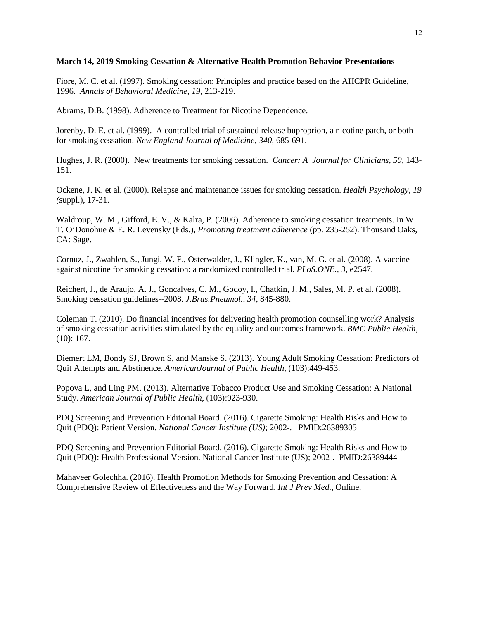## **March 14, 2019 Smoking Cessation & Alternative Health Promotion Behavior Presentations**

Fiore, M. C. et al. (1997). Smoking cessation: Principles and practice based on the AHCPR Guideline, 1996. *Annals of Behavioral Medicine, 19,* 213-219.

Abrams, D.B. (1998). Adherence to Treatment for Nicotine Dependence.

Jorenby, D. E. et al. (1999). A controlled trial of sustained release buproprion, a nicotine patch, or both for smoking cessation. *New England Journal of Medicine, 340,* 685-691.

Hughes, J. R. (2000). New treatments for smoking cessation. *Cancer: A Journal for Clinicians, 50,* 143- 151.

Ockene, J. K. et al. (2000). Relapse and maintenance issues for smoking cessation. *Health Psychology, 19 (*suppl.), 17-31.

Waldroup, W. M., Gifford, E. V., & Kalra, P. (2006). Adherence to smoking cessation treatments. In W. T. O'Donohue & E. R. Levensky (Eds.), *Promoting treatment adherence* (pp. 235-252). Thousand Oaks, CA: Sage.

Cornuz, J., Zwahlen, S., Jungi, W. F., Osterwalder, J., Klingler, K., van, M. G. et al. (2008). A vaccine against nicotine for smoking cessation: a randomized controlled trial. *PLoS.ONE., 3,* e2547.

Reichert, J., de Araujo, A. J., Goncalves, C. M., Godoy, I., Chatkin, J. M., Sales, M. P. et al. (2008). Smoking cessation guidelines--2008. *J.Bras.Pneumol., 34,* 845-880.

Coleman T. (2010). Do financial incentives for delivering health promotion counselling work? Analysis of smoking cessation activities stimulated by the equality and outcomes framework. *BMC Public Health*, (10): 167.

Diemert LM, Bondy SJ, Brown S, and Manske S. (2013). Young Adult Smoking Cessation: Predictors of Quit Attempts and Abstinence. *AmericanJournal of Public Health*, (103):449-453.

Popova L, and Ling PM. (2013). Alternative Tobacco Product Use and Smoking Cessation: A National Study. *American Journal of Public Health*, (103):923-930.

PDQ Screening and Prevention Editorial Board. (2016). Cigarette Smoking: Health Risks and How to Quit (PDQ): Patient Version. *National Cancer Institute (US)*; 2002-. PMID:26389305

PDQ Screening and Prevention Editorial Board. (2016). Cigarette Smoking: Health Risks and How to Quit (PDQ): Health Professional Version. National Cancer Institute (US); 2002-. PMID:26389444

Mahaveer Golechha. (2016). Health Promotion Methods for Smoking Prevention and Cessation: A Comprehensive Review of Effectiveness and the Way Forward. *Int J Prev Med.*, Online.